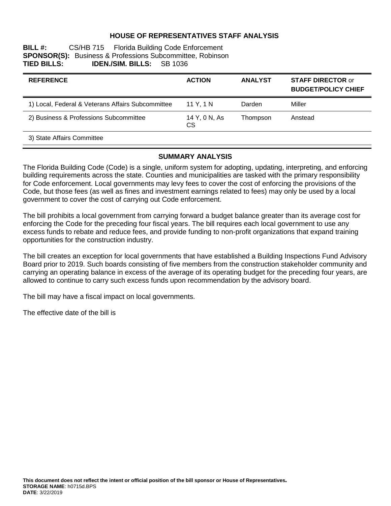### **HOUSE OF REPRESENTATIVES STAFF ANALYSIS**

| <b>BILL#:</b>      |                                  | CS/HB 715 Florida Building Code Enforcement                      |  |
|--------------------|----------------------------------|------------------------------------------------------------------|--|
|                    |                                  | <b>SPONSOR(S):</b> Business & Professions Subcommittee, Robinson |  |
| <b>TIED BILLS:</b> | <b>IDEN./SIM. BILLS:</b> SB 1036 |                                                                  |  |

| <b>REFERENCE</b>                                  | <b>ACTION</b>       | <b>ANALYST</b> | <b>STAFF DIRECTOR or</b><br><b>BUDGET/POLICY CHIEF</b> |
|---------------------------------------------------|---------------------|----------------|--------------------------------------------------------|
| 1) Local, Federal & Veterans Affairs Subcommittee | 11 Y. 1 N           | Darden         | Miller                                                 |
| 2) Business & Professions Subcommittee            | 14 Y, 0 N, As<br>CS | Thompson       | Anstead                                                |
| 3) State Affairs Committee                        |                     |                |                                                        |

#### **SUMMARY ANALYSIS**

The Florida Building Code (Code) is a single, uniform system for adopting, updating, interpreting, and enforcing building requirements across the state. Counties and municipalities are tasked with the primary responsibility for Code enforcement. Local governments may levy fees to cover the cost of enforcing the provisions of the Code, but those fees (as well as fines and investment earnings related to fees) may only be used by a local government to cover the cost of carrying out Code enforcement.

The bill prohibits a local government from carrying forward a budget balance greater than its average cost for enforcing the Code for the preceding four fiscal years. The bill requires each local government to use any excess funds to rebate and reduce fees, and provide funding to non-profit organizations that expand training opportunities for the construction industry.

The bill creates an exception for local governments that have established a Building Inspections Fund Advisory Board prior to 2019. Such boards consisting of five members from the construction stakeholder community and carrying an operating balance in excess of the average of its operating budget for the preceding four years, are allowed to continue to carry such excess funds upon recommendation by the advisory board.

The bill may have a fiscal impact on local governments.

The effective date of the bill is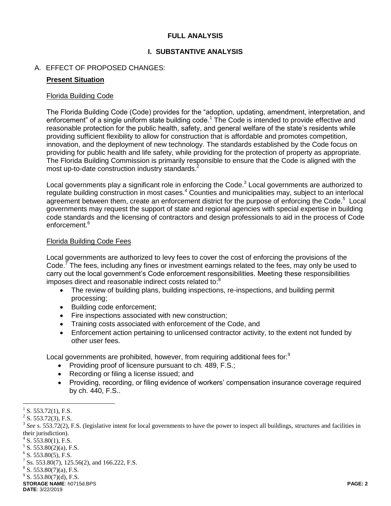### **FULL ANALYSIS**

### **I. SUBSTANTIVE ANALYSIS**

### A. EFFECT OF PROPOSED CHANGES:

#### **Present Situation**

#### Florida Building Code

The Florida Building Code (Code) provides for the "adoption, updating, amendment, interpretation, and enforcement" of a single uniform state building code.<sup>1</sup> The Code is intended to provide effective and reasonable protection for the public health, safety, and general welfare of the state's residents while providing sufficient flexibility to allow for construction that is affordable and promotes competition, innovation, and the deployment of new technology. The standards established by the Code focus on providing for public health and life safety, while providing for the protection of property as appropriate. The Florida Building Commission is primarily responsible to ensure that the Code is aligned with the most up-to-date construction industry standards.<sup>2</sup>

Local governments play a significant role in enforcing the Code. $3$  Local governments are authorized to regulate building construction in most cases.<sup>4</sup> Counties and municipalities may, subject to an interlocal agreement between them, create an enforcement district for the purpose of enforcing the Code.<sup>5</sup> Local governments may request the support of state and regional agencies with special expertise in building code standards and the licensing of contractors and design professionals to aid in the process of Code enforcement.<sup>6</sup>

#### Florida Building Code Fees

Local governments are authorized to levy fees to cover the cost of enforcing the provisions of the Code.<sup>7</sup> The fees, including any fines or investment earnings related to the fees, may only be used to carry out the local government's Code enforcement responsibilities. Meeting these responsibilities imposes direct and reasonable indirect costs related to:<sup>8</sup>

- The review of building plans, building inspections, re-inspections, and building permit processing;
- Building code enforcement;
- Fire inspections associated with new construction;
- Training costs associated with enforcement of the Code, and
- Enforcement action pertaining to unlicensed contractor activity, to the extent not funded by other user fees.

Local governments are prohibited, however, from requiring additional fees for:<sup>9</sup>

- Providing proof of licensure pursuant to ch. 489, F.S.;
- Recording or filing a license issued; and
- Providing, recording, or filing evidence of workers' compensation insurance coverage required by ch. 440, F.S..

 $5$  S. 553.80(2)(a), F.S.

 $9^9$  S. 553.80(7)(d), F.S.

 $\overline{a}$ 1 S. 553.72(1), F.S.

 $2^2$  S. 553.72(3), F.S.

<sup>&</sup>lt;sup>3</sup> See s. 553.72(2), F.S. (legislative intent for local governments to have the power to inspect all buildings, structures and facilities in their jurisdiction).

 $4$  S. 553.80(1), F.S.

 $6$  S. 553.80(5), F.S.

<sup>7</sup> Ss. 553.80(7), 125.56(2), and 166.222, F.S.

 $8$  S. 553.80(7)(a), F.S.

**STORAGE NAME**: h0715d.BPS **PAGE: 2 DATE**: 3/22/2019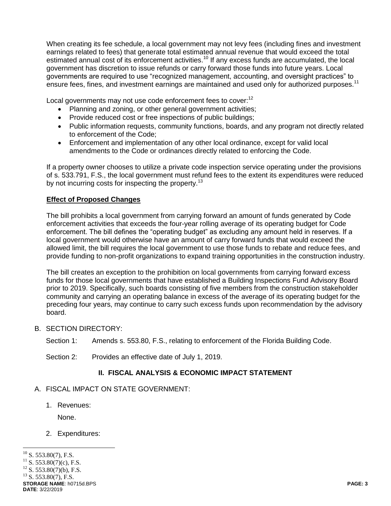When creating its fee schedule, a local government may not levy fees (including fines and investment earnings related to fees) that generate total estimated annual revenue that would exceed the total estimated annual cost of its enforcement activities.<sup>10</sup> If any excess funds are accumulated, the local government has discretion to issue refunds or carry forward those funds into future years. Local governments are required to use "recognized management, accounting, and oversight practices" to ensure fees, fines, and investment earnings are maintained and used only for authorized purposes.<sup>11</sup>

Local governments may not use code enforcement fees to cover:<sup>12</sup>

- Planning and zoning, or other general government activities;
- Provide reduced cost or free inspections of public buildings;
- Public information requests, community functions, boards, and any program not directly related to enforcement of the Code;
- Enforcement and implementation of any other local ordinance, except for valid local amendments to the Code or ordinances directly related to enforcing the Code.

If a property owner chooses to utilize a private code inspection service operating under the provisions of s. 533.791, F.S., the local government must refund fees to the extent its expenditures were reduced by not incurring costs for inspecting the property.<sup>13</sup>

# **Effect of Proposed Changes**

The bill prohibits a local government from carrying forward an amount of funds generated by Code enforcement activities that exceeds the four-year rolling average of its operating budget for Code enforcement. The bill defines the "operating budget" as excluding any amount held in reserves. If a local government would otherwise have an amount of carry forward funds that would exceed the allowed limit, the bill requires the local government to use those funds to rebate and reduce fees, and provide funding to non-profit organizations to expand training opportunities in the construction industry.

The bill creates an exception to the prohibition on local governments from carrying forward excess funds for those local governments that have established a Building Inspections Fund Advisory Board prior to 2019. Specifically, such boards consisting of five members from the construction stakeholder community and carrying an operating balance in excess of the average of its operating budget for the preceding four years, may continue to carry such excess funds upon recommendation by the advisory board.

- B. SECTION DIRECTORY:
	- Section 1: Amends s. 553.80, F.S., relating to enforcement of the Florida Building Code.
	- Section 2: Provides an effective date of July 1, 2019.

# **II. FISCAL ANALYSIS & ECONOMIC IMPACT STATEMENT**

- A. FISCAL IMPACT ON STATE GOVERNMENT:
	- 1. Revenues:

None.

## 2. Expenditures: